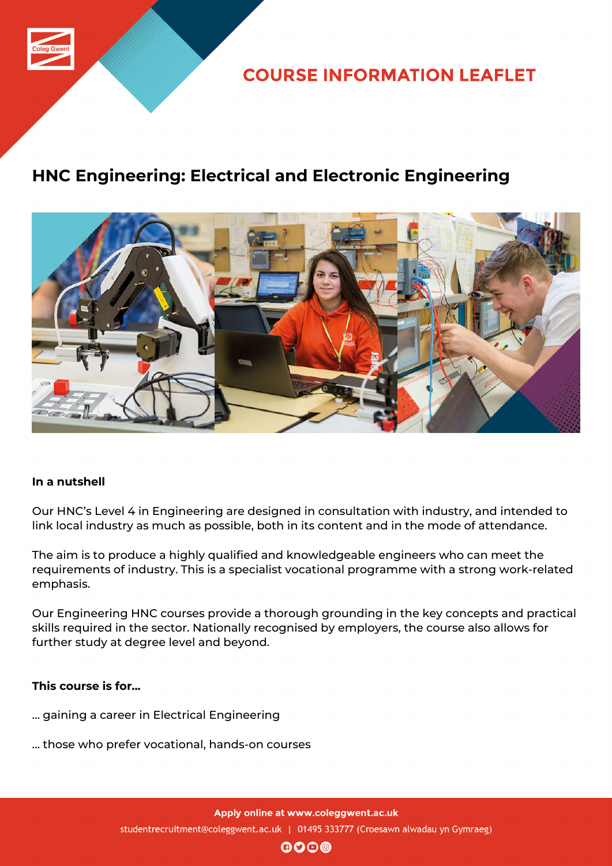

**COURSE INFORMATION LEAFLET** 

# **HNC Engineering: Electrical and Electronic Engineering**



### **In a nutshell**

Our HNC's Level 4 in Engineering are designed in consultation with industry, and intended to link local industry as much as possible, both in its content and in the mode of attendance.

The aim is to produce a highly qualified and knowledgeable engineers who can meet the requirements of industry. This is a specialist vocational programme with a strong work-related emphasis.

Our Engineering HNC courses provide a thorough grounding in the key concepts and practical skills required in the sector. Nationally recognised by employers, the course also allows for further study at degree level and beyond.

#### **This course is for...**

- … gaining a career in Electrical Engineering
- … those who prefer vocational, hands-on courses

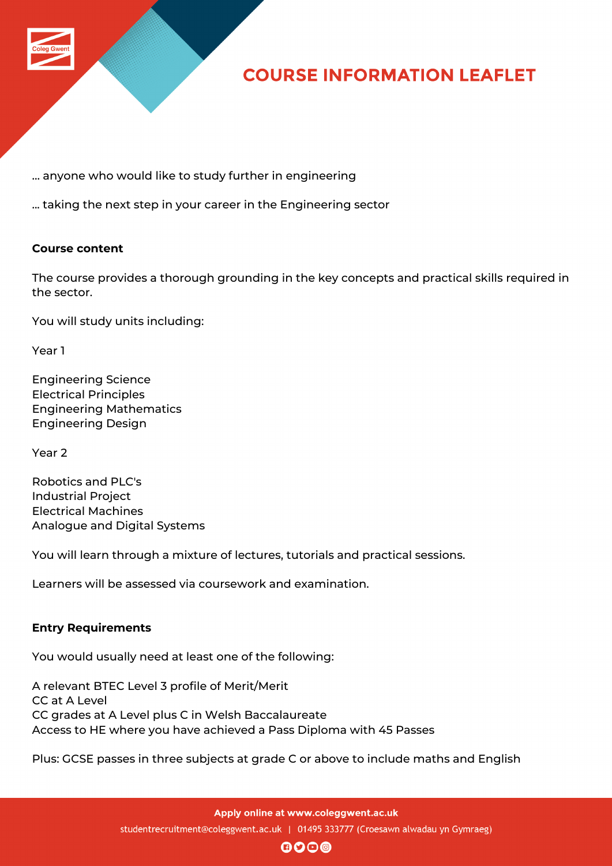

# **COURSE INFORMATION LEAFLET**

… anyone who would like to study further in engineering

... taking the next step in your career in the Engineering sector

#### **Course content**

The course provides a thorough grounding in the key concepts and practical skills required in the sector.

You will study units including:

Year 1

Engineering Science Electrical Principles Engineering Mathematics Engineering Design

Year 2

Robotics and PLC's Industrial Project Electrical Machines Analogue and Digital Systems

You will learn through a mixture of lectures, tutorials and practical sessions.

Learners will be assessed via coursework and examination.

#### **Entry Requirements**

You would usually need at least one of the following:

A relevant BTEC Level 3 profile of Merit/Merit CC at A Level CC grades at A Level plus C in Welsh Baccalaureate Access to HE where you have achieved a Pass Diploma with 45 Passes

Plus: GCSE passes in three subjects at grade C or above to include maths and English

 $\mathbf{0}$  $\mathbf{0}$  $\mathbf{0}$